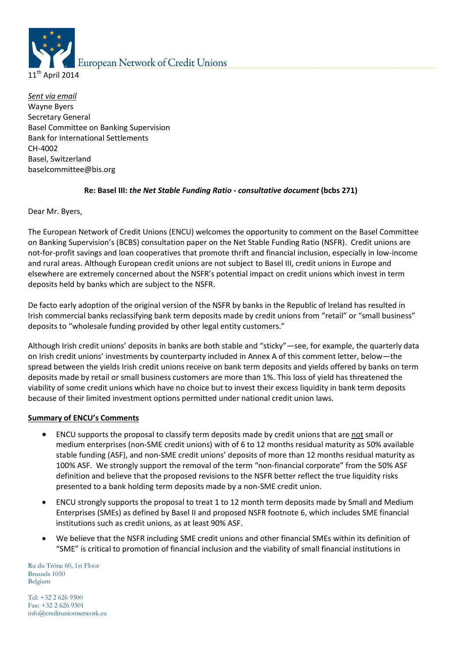

*Sent via email* Wayne Byers Secretary General Basel Committee on Banking Supervision Bank for International Settlements CH-4002 Basel, Switzerland baselcommittee@bis.org

# **Re: Basel III:** *the Net Stable Funding Ratio - consultative document* **(bcbs 271)**

Dear Mr. Byers,

The European Network of Credit Unions (ENCU) welcomes the opportunity to comment on the Basel Committee on Banking Supervision's (BCBS) consultation paper on the Net Stable Funding Ratio (NSFR). Credit unions are not-for-profit savings and loan cooperatives that promote thrift and financial inclusion, especially in low-income and rural areas. Although European credit unions are not subject to Basel III, credit unions in Europe and elsewhere are extremely concerned about the NSFR's potential impact on credit unions which invest in term deposits held by banks which are subject to the NSFR.

De facto early adoption of the original version of the NSFR by banks in the Republic of Ireland has resulted in Irish commercial banks reclassifying bank term deposits made by credit unions from "retail" or "small business" deposits to "wholesale funding provided by other legal entity customers."

Although Irish credit unions' deposits in banks are both stable and "sticky"—see, for example, the quarterly data on Irish credit unions' investments by counterparty included in Annex A of this comment letter, below—the spread between the yields Irish credit unions receive on bank term deposits and yields offered by banks on term deposits made by retail or small business customers are more than 1%. This loss of yield has threatened the viability of some credit unions which have no choice but to invest their excess liquidity in bank term deposits because of their limited investment options permitted under national credit union laws.

### **Summary of ENCU's Comments**

- ENCU supports the proposal to classify term deposits made by credit unions that are not small or medium enterprises (non-SME credit unions) with of 6 to 12 months residual maturity as 50% available stable funding (ASF), and non-SME credit unions' deposits of more than 12 months residual maturity as 100% ASF. We strongly support the removal of the term "non-financial corporate" from the 50% ASF definition and believe that the proposed revisions to the NSFR better reflect the true liquidity risks presented to a bank holding term deposits made by a non-SME credit union.
- ENCU strongly supports the proposal to treat 1 to 12 month term deposits made by Small and Medium Enterprises (SMEs) as defined by Basel II and proposed NSFR footnote 6, which includes SME financial institutions such as credit unions, as at least 90% ASF.
- We believe that the NSFR including SME credit unions and other financial SMEs within its definition of "SME" is critical to promotion of financial inclusion and the viability of small financial institutions in

Ru du Trône 60, 1st Floor Brussels 1050 Belgium

Tel: +32 2 626 9500 Fax: +32 2 626 9501 info@creditunionnetwork.eu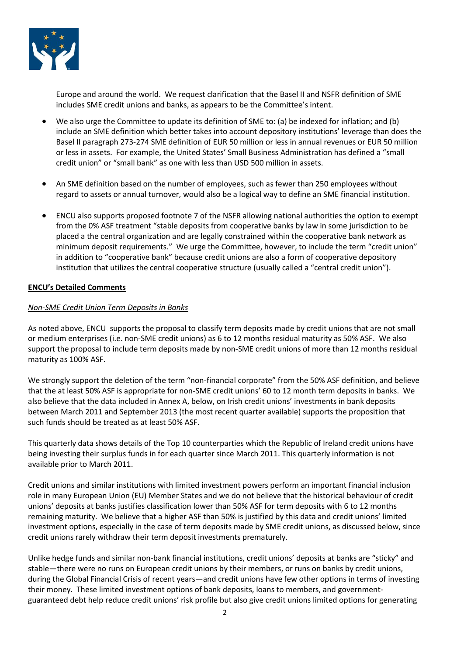

Europe and around the world. We request clarification that the Basel II and NSFR definition of SME includes SME credit unions and banks, as appears to be the Committee's intent.

- We also urge the Committee to update its definition of SME to: (a) be indexed for inflation; and (b) include an SME definition which better takes into account depository institutions' leverage than does the Basel II paragraph 273-274 SME definition of EUR 50 million or less in annual revenues or EUR 50 million or less in assets. For example, the United States' Small Business Administration has defined a "small credit union" or "small bank" as one with less than USD 500 million in assets.
- An SME definition based on the number of employees, such as fewer than 250 employees without regard to assets or annual turnover, would also be a logical way to define an SME financial institution.
- ENCU also supports proposed footnote 7 of the NSFR allowing national authorities the option to exempt from the 0% ASF treatment "stable deposits from cooperative banks by law in some jurisdiction to be placed a the central organization and are legally constrained within the cooperative bank network as minimum deposit requirements." We urge the Committee, however, to include the term "credit union" in addition to "cooperative bank" because credit unions are also a form of cooperative depository institution that utilizes the central cooperative structure (usually called a "central credit union").

# **ENCU's Detailed Comments**

# *Non-SME Credit Union Term Deposits in Banks*

As noted above, ENCU supports the proposal to classify term deposits made by credit unions that are not small or medium enterprises (i.e. non-SME credit unions) as 6 to 12 months residual maturity as 50% ASF. We also support the proposal to include term deposits made by non-SME credit unions of more than 12 months residual maturity as 100% ASF.

We strongly support the deletion of the term "non-financial corporate" from the 50% ASF definition, and believe that the at least 50% ASF is appropriate for non-SME credit unions' 60 to 12 month term deposits in banks. We also believe that the data included in Annex A, below, on Irish credit unions' investments in bank deposits between March 2011 and September 2013 (the most recent quarter available) supports the proposition that such funds should be treated as at least 50% ASF.

This quarterly data shows details of the Top 10 counterparties which the Republic of Ireland credit unions have being investing their surplus funds in for each quarter since March 2011. This quarterly information is not available prior to March 2011.

Credit unions and similar institutions with limited investment powers perform an important financial inclusion role in many European Union (EU) Member States and we do not believe that the historical behaviour of credit unions' deposits at banks justifies classification lower than 50% ASF for term deposits with 6 to 12 months remaining maturity. We believe that a higher ASF than 50% is justified by this data and credit unions' limited investment options, especially in the case of term deposits made by SME credit unions, as discussed below, since credit unions rarely withdraw their term deposit investments prematurely.

Unlike hedge funds and similar non-bank financial institutions, credit unions' deposits at banks are "sticky" and stable—there were no runs on European credit unions by their members, or runs on banks by credit unions, during the Global Financial Crisis of recent years—and credit unions have few other options in terms of investing their money. These limited investment options of bank deposits, loans to members, and governmentguaranteed debt help reduce credit unions' risk profile but also give credit unions limited options for generating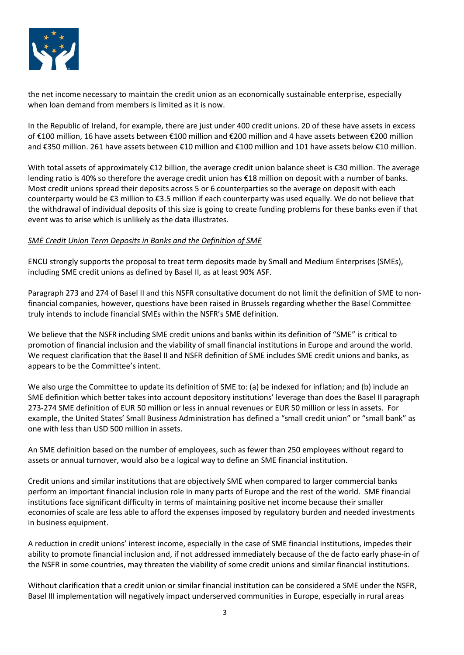

the net income necessary to maintain the credit union as an economically sustainable enterprise, especially when loan demand from members is limited as it is now.

In the Republic of Ireland, for example, there are just under 400 credit unions. 20 of these have assets in excess of €100 million, 16 have assets between €100 million and €200 million and 4 have assets between €200 million and €350 million. 261 have assets between €10 million and €100 million and 101 have assets below €10 million.

With total assets of approximately €12 billion, the average credit union balance sheet is €30 million. The average lending ratio is 40% so therefore the average credit union has €18 million on deposit with a number of banks. Most credit unions spread their deposits across 5 or 6 counterparties so the average on deposit with each counterparty would be €3 million to €3.5 million if each counterparty was used equally. We do not believe that the withdrawal of individual deposits of this size is going to create funding problems for these banks even if that event was to arise which is unlikely as the data illustrates.

# *SME Credit Union Term Deposits in Banks and the Definition of SME*

ENCU strongly supports the proposal to treat term deposits made by Small and Medium Enterprises (SMEs), including SME credit unions as defined by Basel II, as at least 90% ASF.

Paragraph 273 and 274 of Basel II and this NSFR consultative document do not limit the definition of SME to nonfinancial companies, however, questions have been raised in Brussels regarding whether the Basel Committee truly intends to include financial SMEs within the NSFR's SME definition.

We believe that the NSFR including SME credit unions and banks within its definition of "SME" is critical to promotion of financial inclusion and the viability of small financial institutions in Europe and around the world. We request clarification that the Basel II and NSFR definition of SME includes SME credit unions and banks, as appears to be the Committee's intent.

We also urge the Committee to update its definition of SME to: (a) be indexed for inflation; and (b) include an SME definition which better takes into account depository institutions' leverage than does the Basel II paragraph 273-274 SME definition of EUR 50 million or less in annual revenues or EUR 50 million or less in assets. For example, the United States' Small Business Administration has defined a "small credit union" or "small bank" as one with less than USD 500 million in assets.

An SME definition based on the number of employees, such as fewer than 250 employees without regard to assets or annual turnover, would also be a logical way to define an SME financial institution.

Credit unions and similar institutions that are objectively SME when compared to larger commercial banks perform an important financial inclusion role in many parts of Europe and the rest of the world. SME financial institutions face significant difficulty in terms of maintaining positive net income because their smaller economies of scale are less able to afford the expenses imposed by regulatory burden and needed investments in business equipment.

A reduction in credit unions' interest income, especially in the case of SME financial institutions, impedes their ability to promote financial inclusion and, if not addressed immediately because of the de facto early phase-in of the NSFR in some countries, may threaten the viability of some credit unions and similar financial institutions.

Without clarification that a credit union or similar financial institution can be considered a SME under the NSFR, Basel III implementation will negatively impact underserved communities in Europe, especially in rural areas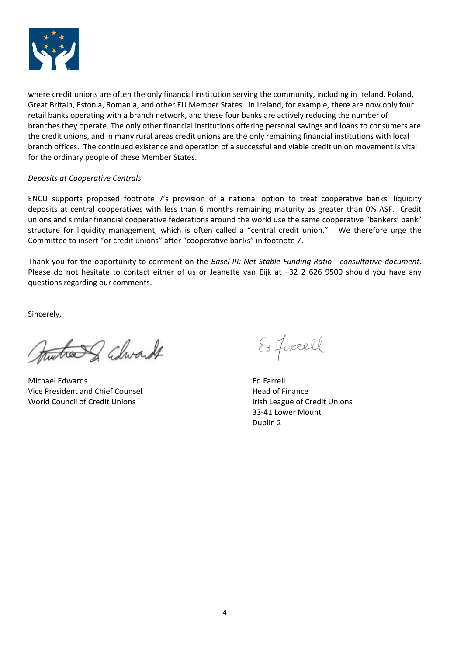

where credit unions are often the only financial institution serving the community, including in Ireland, Poland, Great Britain, Estonia, Romania, and other EU Member States. In Ireland, for example, there are now only four retail banks operating with a branch network, and these four banks are actively reducing the number of branches they operate. The only other financial institutions offering personal savings and loans to consumers are the credit unions, and in many rural areas credit unions are the only remaining financial institutions with local branch offices. The continued existence and operation of a successful and viable credit union movement is vital for the ordinary people of these Member States.

### *Deposits at Cooperative Centrals*

ENCU supports proposed footnote 7's provision of a national option to treat cooperative banks' liquidity deposits at central cooperatives with less than 6 months remaining maturity as greater than 0% ASF. Credit unions and similar financial cooperative federations around the world use the same cooperative "bankers' bank" structure for liquidity management, which is often called a "central credit union." We therefore urge the Committee to insert "or credit unions" after "cooperative banks" in footnote 7.

Thank you for the opportunity to comment on the *Basel III: Net Stable Funding Ratio - consultative document*. Please do not hesitate to contact either of us or Jeanette van Eijk at +32 2 626 9500 should you have any questions regarding our comments.

Sincerely,

tree of Churcult

Michael Edwards Ed Farrell Vice President and Chief Counsel **Head of Finance** World Council of Credit Unions **Internal Council of Credit Unions** Irish League of Credit Unions

Ed forcell

33-41 Lower Mount Dublin 2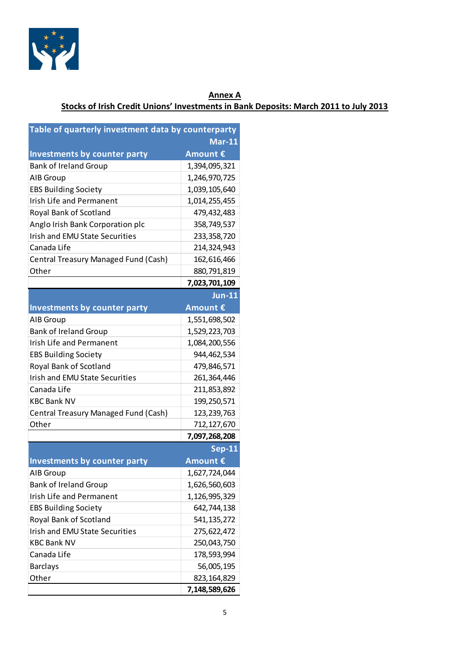

# **Annex A Stocks of Irish Credit Unions' Investments in Bank Deposits: March 2011 to July 2013**

| Table of quarterly investment data by counterparty |               |
|----------------------------------------------------|---------------|
|                                                    | <b>Mar-11</b> |
| <b>Investments by counter party</b>                | Amount €      |
| <b>Bank of Ireland Group</b>                       | 1,394,095,321 |
| AIB Group                                          | 1,246,970,725 |
| <b>EBS Building Society</b>                        | 1,039,105,640 |
| <b>Irish Life and Permanent</b>                    | 1,014,255,455 |
| Royal Bank of Scotland                             | 479,432,483   |
| Anglo Irish Bank Corporation plc                   | 358,749,537   |
| <b>Irish and EMU State Securities</b>              | 233,358,720   |
| Canada Life                                        | 214,324,943   |
| Central Treasury Managed Fund (Cash)               | 162,616,466   |
| Other                                              | 880,791,819   |
|                                                    | 7,023,701,109 |
|                                                    | <b>Jun-11</b> |
| <b>Investments by counter party</b>                | Amount €      |
| AIB Group                                          | 1,551,698,502 |
| <b>Bank of Ireland Group</b>                       | 1,529,223,703 |
| <b>Irish Life and Permanent</b>                    | 1,084,200,556 |
| <b>EBS Building Society</b>                        | 944,462,534   |
| Royal Bank of Scotland                             | 479,846,571   |
| <b>Irish and EMU State Securities</b>              | 261,364,446   |
| Canada Life                                        | 211,853,892   |
| <b>KBC Bank NV</b>                                 | 199,250,571   |
| Central Treasury Managed Fund (Cash)               | 123, 239, 763 |
| Other                                              | 712,127,670   |
|                                                    | 7,097,268,208 |
|                                                    | <b>Sep-11</b> |
| <b>Investments by counter party</b>                | Amount €      |
| AIB Group                                          | 1,627,724,044 |
| <b>Bank of Ireland Group</b>                       | 1,626,560,603 |
| Irish Life and Permanent                           | 1,126,995,329 |
| <b>EBS Building Society</b>                        | 642,744,138   |
| Royal Bank of Scotland                             | 541, 135, 272 |
| <b>Irish and EMU State Securities</b>              | 275,622,472   |
| <b>KBC Bank NV</b>                                 | 250,043,750   |
| Canada Life                                        | 178,593,994   |
| <b>Barclays</b>                                    | 56,005,195    |
| Other                                              | 823,164,829   |
|                                                    | 7,148,589,626 |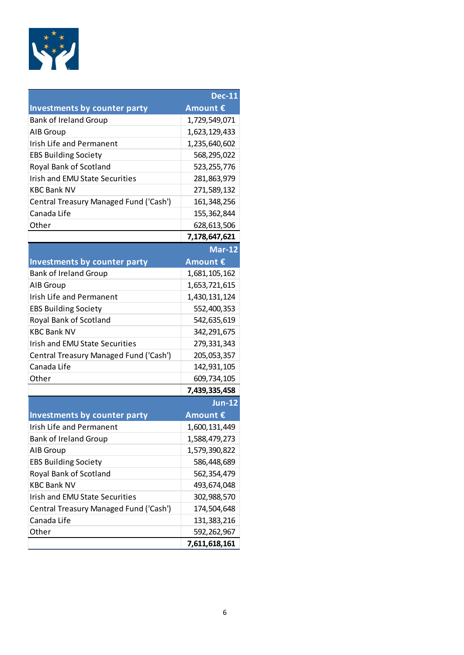

|                                        | <b>Dec-11</b> |
|----------------------------------------|---------------|
| <b>Investments by counter party</b>    | Amount €      |
| <b>Bank of Ireland Group</b>           | 1,729,549,071 |
| AIB Group                              | 1,623,129,433 |
| Irish Life and Permanent               | 1,235,640,602 |
| <b>EBS Building Society</b>            | 568,295,022   |
| Royal Bank of Scotland                 | 523, 255, 776 |
| <b>Irish and EMU State Securities</b>  | 281,863,979   |
| <b>KBC Bank NV</b>                     | 271,589,132   |
| Central Treasury Managed Fund ('Cash') | 161,348,256   |
| Canada Life                            | 155,362,844   |
| Other                                  | 628,613,506   |
|                                        | 7,178,647,621 |
|                                        | <b>Mar-12</b> |
| <b>Investments by counter party</b>    | Amount €      |
| <b>Bank of Ireland Group</b>           | 1,681,105,162 |
| AIB Group                              | 1,653,721,615 |
| <b>Irish Life and Permanent</b>        | 1,430,131,124 |
| <b>EBS Building Society</b>            | 552,400,353   |
| Royal Bank of Scotland                 | 542,635,619   |
| <b>KBC Bank NV</b>                     | 342,291,675   |
| <b>Irish and EMU State Securities</b>  | 279,331,343   |
| Central Treasury Managed Fund ('Cash') | 205,053,357   |
| Canada Life                            | 142,931,105   |
| Other                                  | 609,734,105   |
|                                        | 7,439,335,458 |
|                                        | <b>Jun-12</b> |
| Investments by counter party           | Amount €      |
| Irish Life and Permanent               | 1,600,131,449 |
| <b>Bank of Ireland Group</b>           | 1,588,479,273 |
| AIB Group                              | 1,579,390,822 |
| <b>EBS Building Society</b>            | 586,448,689   |
| Royal Bank of Scotland                 | 562,354,479   |
| <b>KBC Bank NV</b>                     | 493,674,048   |
| <b>Irish and EMU State Securities</b>  | 302,988,570   |
| Central Treasury Managed Fund ('Cash') | 174,504,648   |
| Canada Life                            | 131,383,216   |
| Other                                  | 592,262,967   |
|                                        | 7,611,618,161 |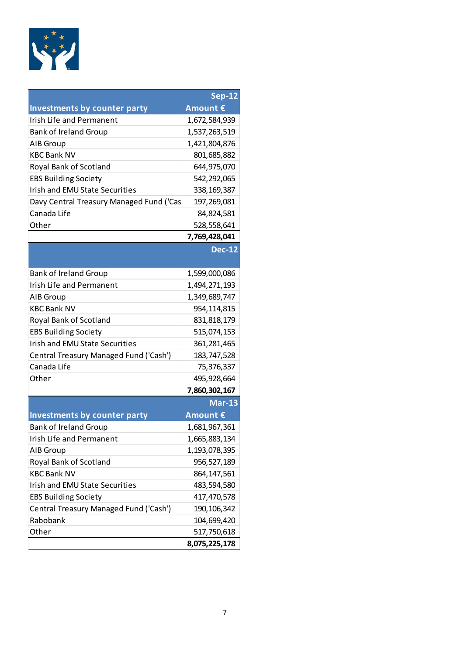

|                                          | <b>Sep-12</b> |
|------------------------------------------|---------------|
| Investments by counter party             | Amount €      |
| <b>Irish Life and Permanent</b>          | 1,672,584,939 |
| <b>Bank of Ireland Group</b>             | 1,537,263,519 |
| AIB Group                                | 1,421,804,876 |
| <b>KBC Bank NV</b>                       | 801,685,882   |
| Royal Bank of Scotland                   | 644,975,070   |
| <b>EBS Building Society</b>              | 542,292,065   |
| <b>Irish and EMU State Securities</b>    | 338, 169, 387 |
| Davy Central Treasury Managed Fund ('Cas | 197,269,081   |
| Canada Life                              | 84,824,581    |
| Other                                    | 528,558,641   |
|                                          | 7,769,428,041 |
|                                          | <b>Dec-12</b> |
|                                          |               |
| <b>Bank of Ireland Group</b>             | 1,599,000,086 |
| <b>Irish Life and Permanent</b>          | 1,494,271,193 |
| AIB Group                                | 1,349,689,747 |
| <b>KBC Bank NV</b>                       | 954,114,815   |
| Royal Bank of Scotland                   | 831,818,179   |
| <b>EBS Building Society</b>              | 515,074,153   |
| <b>Irish and EMU State Securities</b>    | 361, 281, 465 |
| Central Treasury Managed Fund ('Cash')   | 183,747,528   |
| Canada Life                              | 75,376,337    |
| Other                                    | 495,928,664   |
|                                          | 7,860,302,167 |
|                                          | <b>Mar-13</b> |
| <b>Investments by counter party</b>      | Amount €      |
| <b>Bank of Ireland Group</b>             | 1,681,967,361 |
| Irish Life and Permanent                 | 1,665,883,134 |
| AIB Group                                | 1,193,078,395 |
| Royal Bank of Scotland                   | 956,527,189   |
| <b>KBC Bank NV</b>                       | 864, 147, 561 |
| <b>Irish and EMU State Securities</b>    | 483,594,580   |
| <b>EBS Building Society</b>              | 417,470,578   |
| Central Treasury Managed Fund ('Cash')   | 190, 106, 342 |
| Rabobank                                 | 104,699,420   |
| Other                                    | 517,750,618   |
|                                          | 8,075,225,178 |